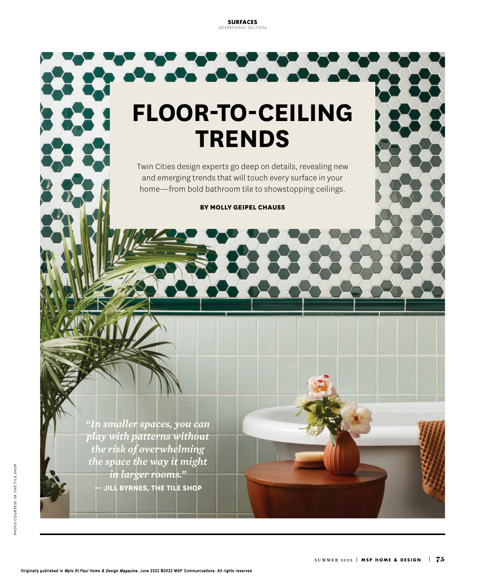**SURFACES** ADVERTISING SECTION

**PARTIES** 

# **FLOOR-TO-CEILING TRENDS**

Twin Cities design experts go deep on details, revealing new and emerging trends that will touch every surface in your home—from bold bathroom tile to showstopping ceilings.

**BY MOLLY GEIPEL CHAUSS**

*"In smaller spaces, you can play with patterns without the risk of overwhelming the space the way it might in larger rooms."*  **— JILL BYRNES, THE TILE SHOP**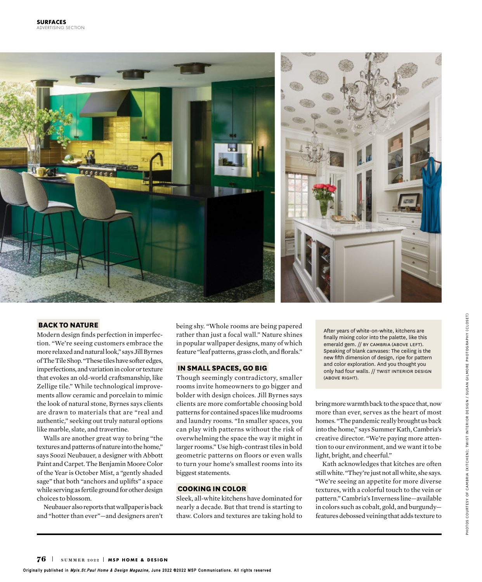

#### **BACK TO NATURE**

Modern design finds perfection in imperfection. "We're seeing customers embrace the more relaxed and natural look," says Jill Byrnes of The Tile Shop. "These tiles have softer edges, imperfections, and variation in color or texture that evokes an old-world craftsmanship, like Zellige tile." While technological improvements allow ceramic and porcelain to mimic the look of natural stone, Byrnes says clients are drawn to materials that are "real and authentic," seeking out truly natural options like marble, slate, and travertine.

Walls are another great way to bring "the textures and patterns of nature into the home," says Soozi Neubauer, a designer with Abbott Paint and Carpet. The Benjamin Moore Color of the Year is October Mist, a "gently shaded sage" that both "anchors and uplifts" a space while serving as fertile ground for other design choices to blossom.

Neubauer also reports that wallpaper is back and "hotter than ever"—and designers aren't being shy. "Whole rooms are being papered rather than just a focal wall." Nature shines in popular wallpaper designs, many of which feature "leaf patterns, grass cloth, and florals."

#### **IN SMALL SPACES, GO BIG**

Though seemingly contradictory, smaller rooms invite homeowners to go bigger and bolder with design choices. Jill Byrnes says clients are more comfortable choosing bold patterns for contained spaces like mudrooms and laundry rooms. "In smaller spaces, you can play with patterns without the risk of overwhelming the space the way it might in larger rooms." Use high-contrast tiles in bold geometric patterns on floors or even walls to turn your home's smallest rooms into its biggest statements.

#### **COOKING IN COLOR**

Sleek, all-white kitchens have dominated for nearly a decade. But that trend is starting to thaw. Colors and textures are taking hold to

After years of white-on-white, kitchens are finally mixing color into the palette, like this emerald gem. // BY CAMBRIA (ABOVE LEFT). Speaking of blank canvases: The ceiling is the new fifth dimension of design, ripe for pattern and color exploration. And you thought you only had four walls. // TWIST INTERIOR DESIGN (above right).

bring more warmth back to the space that, now more than ever, serves as the heart of most homes. "The pandemic really brought us back into the home," says Summer Kath, Cambria's creative director. "We're paying more attention to our environment, and we want it to be light, bright, and cheerful."

Kath acknowledges that kitches are often still white. "They're just not all white, she says. "We're seeing an appetite for more diverse textures, with a colorful touch to the vein or pattern." Cambria's Inverness line—available in colors such as cobalt, gold, and burgundy features debossed veining that adds texture to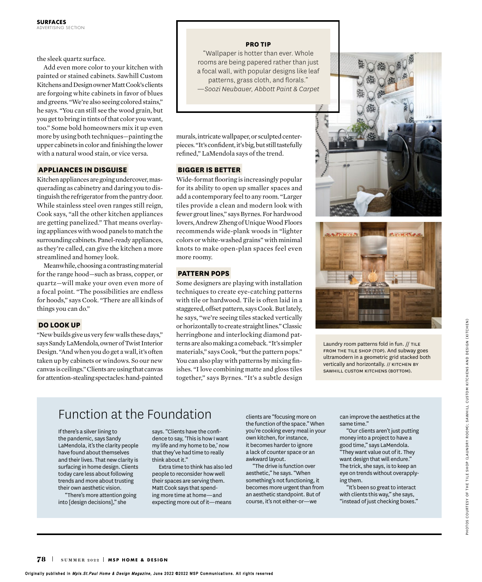the sleek quartz surface.

Add even more color to your kitchen with painted or stained cabinets. Sawhill Custom Kitchens and Design owner Matt Cook's clients are forgoing white cabinets in favor of blues and greens. "We're also seeing colored stains," he says. "You can still see the wood grain, but you get to bring in tints of that color you want, too." Some bold homeowners mix it up even more by using both techniques—painting the upper cabinets in color and finishing the lower with a natural wood stain, or vice versa.

# **APPLIANCES IN DISGUISE**

Kitchen appliances are going undercover, masquerading as cabinetry and daring you to distinguish the refrigerator from the pantry door. While stainless steel oven ranges still reign, Cook says, "all the other kitchen appliances are getting panelized." That means overlaying appliances with wood panels to match the surrounding cabinets. Panel-ready appliances, as they're called, can give the kitchen a more streamlined and homey look.

Meanwhile, choosing a contrasting material for the range hood—such as brass, copper, or quartz—will make your oven even more of a focal point. "The possibilities are endless for hoods," says Cook. "There are all kinds of things you can do."

# **DO LOOK UP**

"New builds give us very few walls these days," says Sandy LaMendola, owner of Twist Interior Design. "And when you do get a wall, it's often taken up by cabinets or windows. So our new canvas is ceilings." Clients are using that canvas for attention-stealing spectacles: hand-painted

#### **PRO TIP**

"Wallpaper is hotter than ever. Whole rooms are being papered rather than just a focal wall, with popular designs like leaf patterns, grass cloth, and florals." *—Soozi Neubauer, Abbott Paint & Carpet*

murals, intricate wallpaper, or sculpted centerpieces. "It's confident, it's big, but still tastefully refined," LaMendola says of the trend.

# **BIGGER IS BETTER**

Wide-format flooring is increasingly popular for its ability to open up smaller spaces and add a contemporary feel to any room. "Larger tiles provide a clean and modern look with fewer grout lines," says Byrnes. For hardwood lovers, Andrew Zheng of Unique Wood Floors recommends wide-plank woods in "lighter colors or white-washed grains" with minimal knots to make open-plan spaces feel even more roomy.

#### **PATTERN POPS**

Some designers are playing with installation techniques to create eye-catching patterns with tile or hardwood. Tile is often laid in a staggered, offset pattern, says Cook. But lately, he says, "we're seeing tiles stacked vertically or horizontally to create straight lines." Classic herringbone and interlocking diamond patterns are also making a comeback. "It's simpler materials," says Cook, "but the pattern pops." You can also play with patterns by mixing finishes. "I love combining matte and gloss tiles together," says Byrnes. "It's a subtle design





Laundry room patterns fold in fun. // TILE FROM THE TILE SHOP (TOP). And subway goes ultramodern in a geometric grid stacked both vertically and horizontally. // KITCHEN BY SAWHILL CUSTOM KITCHENS (BOTTOM).

# Function at the Foundation

If there's a silver lining to the pandemic, says Sandy LaMendola, it's the clarity people have found about themselves and their lives. That new clarity is surfacing in home design. Clients today care less about following trends and more about trusting their own aesthetic vision.

"There's more attention going into [design decisions]," she

says. "Clients have the confidence to say, 'This is how I want my life and my home to be,' now that they've had time to really think about it."

Extra time to think has also led people to reconsider how well their spaces are serving them. Matt Cook says that spending more time at home—and expecting more out of it—means clients are "focusing more on the function of the space." When you're cooking every meal in your own kitchen, for instance, it becomes harder to ignore a lack of counter space or an awkward layout.

"The drive is function over aesthetic," he says. "When something's not functioning, it becomes more urgent than from an aesthetic standpoint. But of course, it's not either-or—we

can improve the aesthetics at the same time."

"Our clients aren't just putting money into a project to have a good time," says LaMendola. "They want value out of it. They want design that will endure." The trick, she says, is to keep an eye on trends without overapplying them.

"It's been so great to interact with clients this way," she says, "instead of just checking boxes."